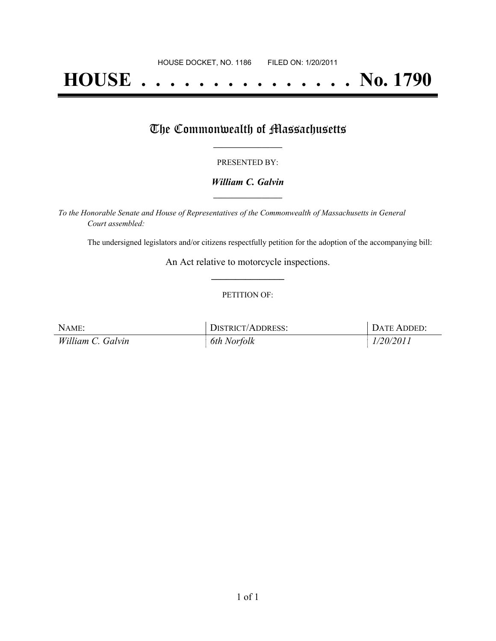# **HOUSE . . . . . . . . . . . . . . . No. 1790**

## The Commonwealth of Massachusetts

#### PRESENTED BY:

#### *William C. Galvin* **\_\_\_\_\_\_\_\_\_\_\_\_\_\_\_\_\_**

*To the Honorable Senate and House of Representatives of the Commonwealth of Massachusetts in General Court assembled:*

The undersigned legislators and/or citizens respectfully petition for the adoption of the accompanying bill:

An Act relative to motorcycle inspections. **\_\_\_\_\_\_\_\_\_\_\_\_\_\_\_**

#### PETITION OF:

| NAME:             | <b>DISTRICT/ADDRESS:</b> | DATE ADDED: |
|-------------------|--------------------------|-------------|
| William C. Galvin | 6th Norfolk              | 1/20/2011   |